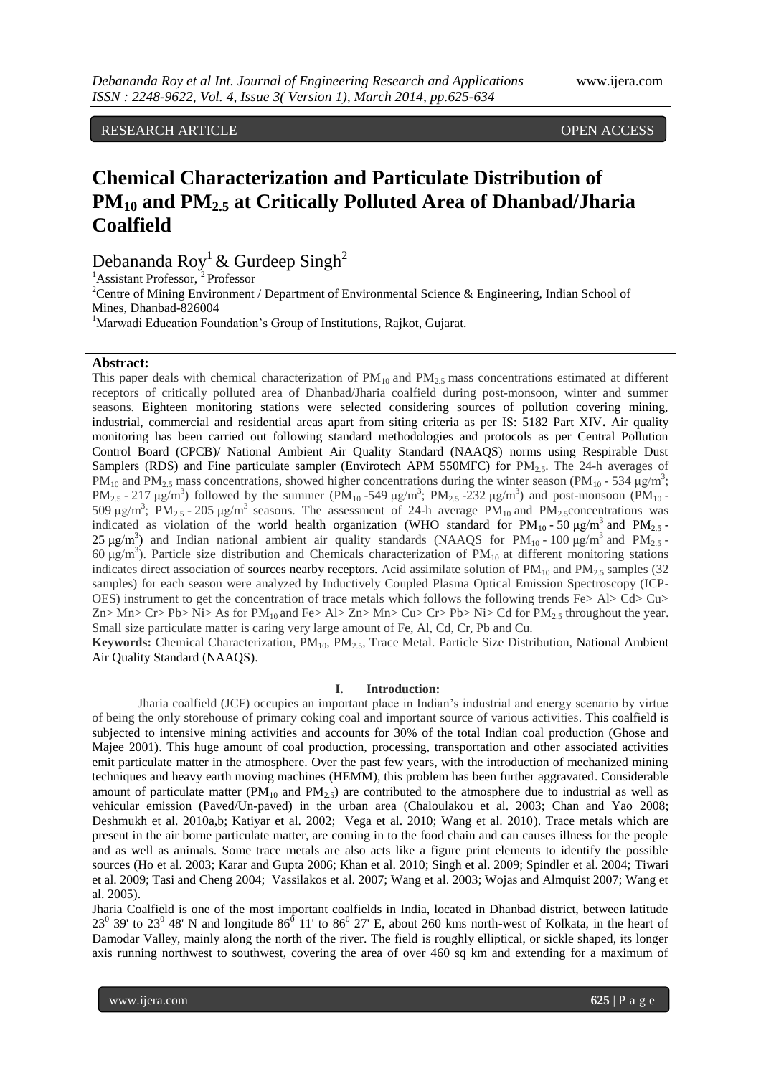RESEARCH ARTICLE **CONSERVERS** OPEN ACCESS

# **Chemical Characterization and Particulate Distribution of PM<sup>10</sup> and PM2.5 at Critically Polluted Area of Dhanbad/Jharia Coalfield**

Debananda Roy<sup>1</sup> & Gurdeep Singh<sup>2</sup>

 ${}^{1}$ Assistant Professor,<sup>2</sup> Professor

<sup>2</sup>Centre of Mining Environment / Department of Environmental Science & Engineering, Indian School of Mines, Dhanbad-826004

<sup>1</sup>Marwadi Education Foundation's Group of Institutions, Rajkot, Gujarat.

## **Abstract:**

This paper deals with chemical characterization of  $PM_{10}$  and  $PM_{2.5}$  mass concentrations estimated at different receptors of critically polluted area of Dhanbad/Jharia coalfield during post-monsoon, winter and summer seasons. Eighteen monitoring stations were selected considering sources of pollution covering mining, industrial, commercial and residential areas apart from siting criteria as per IS: 5182 Part XIV**.** Air quality monitoring has been carried out following standard methodologies and protocols as per Central Pollution Control Board (CPCB)/ National Ambient Air Quality Standard (NAAQS) norms using Respirable Dust Samplers (RDS) and Fine particulate sampler (Envirotech APM 550MFC) for  $PM_{2.5}$ . The 24-h averages of PM<sub>10</sub> and PM<sub>2.5</sub> mass concentrations, showed higher concentrations during the winter season (PM<sub>10</sub> - 534 µg/m<sup>3</sup>; PM<sub>2.5</sub> - 217  $\mu$ g/m<sup>3</sup>) followed by the summer (PM<sub>10</sub>-549  $\mu$ g/m<sup>3</sup>; PM<sub>2.5</sub>-232  $\mu$ g/m<sup>3</sup>) and post-monsoon (PM<sub>10</sub>-509 μg/m<sup>3</sup>; PM<sub>2.5</sub> - 205 μg/m<sup>3</sup> seasons. The assessment of 24-h average PM<sub>10</sub> and PM<sub>2.5</sub> concentrations was indicated as violation of the world health organization (WHO standard for  $PM_{10}$ -50  $\mu\text{g/m}^3$  and  $PM_{2.5}$ -25  $\mu$ g/m<sup>3</sup>) and Indian national ambient air quality standards (NAAQS for PM<sub>10</sub> - 100  $\mu$ g/m<sup>3</sup> and PM<sub>2.5</sub> -60 μg/m<sup>3</sup>). Particle size distribution and Chemicals characterization of PM<sub>10</sub> at different monitoring stations indicates direct association of sources nearby receptors. Acid assimilate solution of  $PM_{10}$  and  $PM_{2.5}$  samples (32) samples) for each season were analyzed by Inductively Coupled Plasma Optical Emission Spectroscopy (ICP-OES) instrument to get the concentration of trace metals which follows the following trends Fe $>$  Al $>$  Cd $>$ Cu $>$  $Zn> Mn> Cr> Pb> Ni> As$  for  $PM_{10}$  and Fe> Al>  $Zn> Mn> Cu> Cr> Pb> Ni> Cd$  for  $PM_{25}$  throughout the year. Small size particulate matter is caring very large amount of Fe, Al, Cd, Cr, Pb and Cu. Keywords: Chemical Characterization, PM<sub>10</sub>, PM<sub>2.5</sub>, Trace Metal. Particle Size Distribution, National Ambient

Air Quality Standard (NAAQS).

#### **I. Introduction:**

Jharia coalfield (JCF) occupies an important place in Indian's industrial and energy scenario by virtue of being the only storehouse of primary coking coal and important source of various activities. This coalfield is subjected to intensive mining activities and accounts for 30% of the total Indian coal production (Ghose and Majee 2001). This huge amount of coal production, processing, transportation and other associated activities emit particulate matter in the atmosphere. Over the past few years, with the introduction of mechanized mining techniques and heavy earth moving machines (HEMM), this problem has been further aggravated. Considerable amount of particulate matter (PM<sub>10</sub> and PM<sub>2.5</sub>) are contributed to the atmosphere due to industrial as well as vehicular emission (Paved/Un-paved) in the urban area (Chaloulakou et al. 2003; Chan and Yao 2008; Deshmukh et al. 2010a,b; Katiyar et al. 2002; Vega et al. 2010; Wang et al. 2010). Trace metals which are present in the air borne particulate matter, are coming in to the food chain and can causes illness for the people and as well as animals. Some trace metals are also acts like a figure print elements to identify the possible sources (Ho et al. 2003; Karar and Gupta 2006; Khan et al. 2010; Singh et al. 2009; Spindler et al. 2004; Tiwari et al. 2009; Tasi and Cheng 2004; Vassilakos et al. 2007; Wang et al. 2003; Wojas and Almquist 2007; Wang et al. 2005).

Jharia Coalfield is one of the most important coalfields in India, located in Dhanbad district, between latitude 23<sup>0</sup> 39' to 23<sup>0</sup> 48' N and longitude 86<sup>0</sup> 11' to 86<sup>0</sup> 27' E, about 260 kms north-west of Kolkata, in the heart of Damodar Valley, mainly along the north of the river. The field is roughly elliptical, or sickle shaped, its longer axis running northwest to southwest, covering the area of over 460 sq km and extending for a maximum of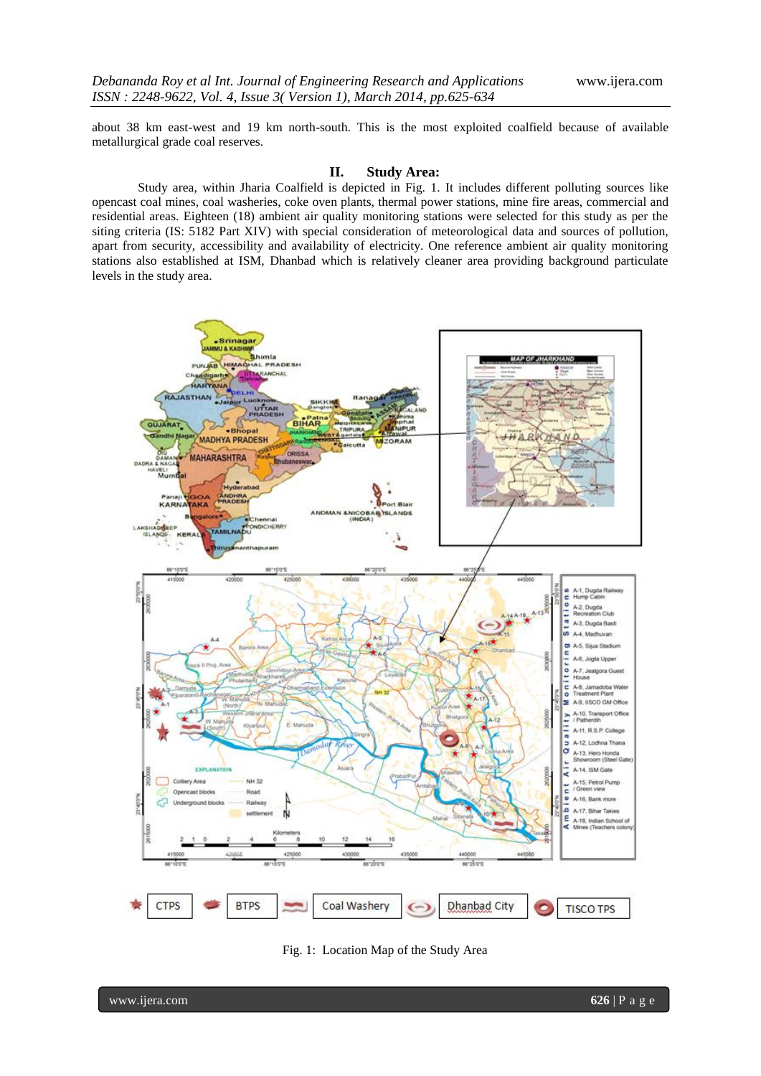about 38 km east-west and 19 km north-south. This is the most exploited coalfield because of available metallurgical grade coal reserves.

#### **II. Study Area:**

Study area, within Jharia Coalfield is depicted in Fig. 1. It includes different polluting sources like opencast coal mines, coal washeries, coke oven plants, thermal power stations, mine fire areas, commercial and residential areas. Eighteen (18) ambient air quality monitoring stations were selected for this study as per the siting criteria (IS: 5182 Part XIV) with special consideration of meteorological data and sources of pollution, apart from security, accessibility and availability of electricity. One reference ambient air quality monitoring stations also established at ISM, Dhanbad which is relatively cleaner area providing background particulate levels in the study area.



Fig. 1: Location Map of the Study Area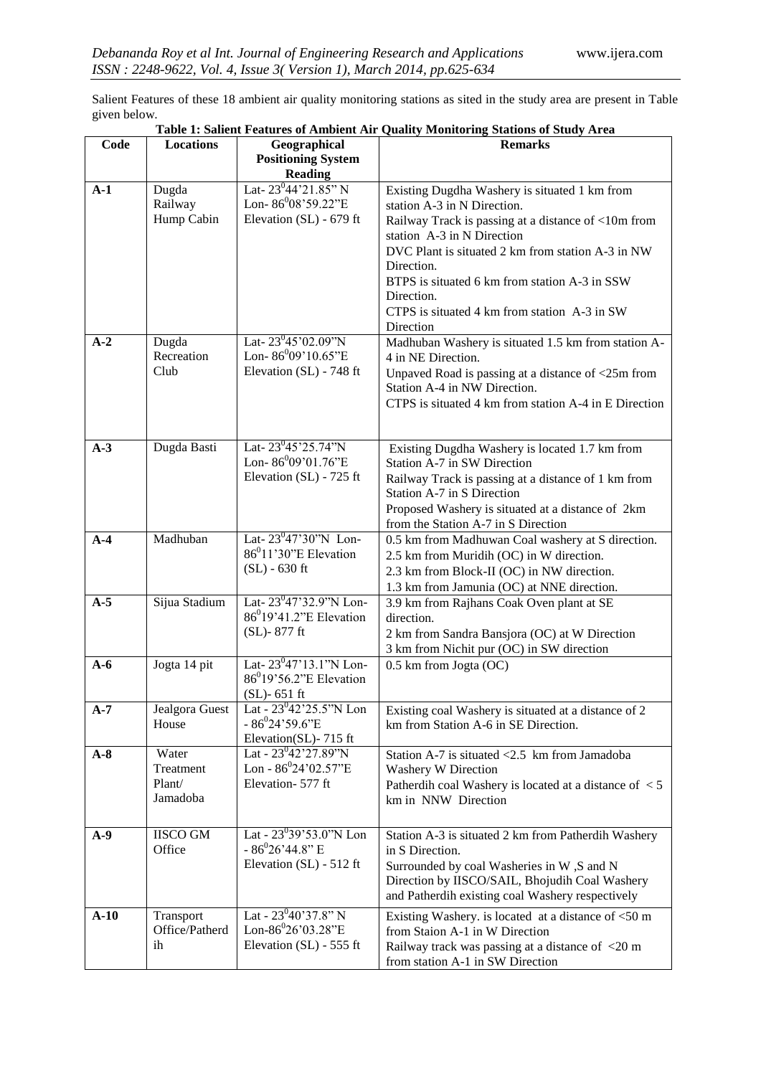Salient Features of these 18 ambient air quality monitoring stations as sited in the study area are present in Table given below.

| Code   | <b>Locations</b>            | Geographical                                                              | <b>Remarks</b>                                                                                |
|--------|-----------------------------|---------------------------------------------------------------------------|-----------------------------------------------------------------------------------------------|
|        |                             | <b>Positioning System</b>                                                 |                                                                                               |
|        |                             | <b>Reading</b><br>Lat-23°44'21.85" N                                      |                                                                                               |
| $A-1$  | Dugda<br>Railway            | Lon-86 <sup>0</sup> 08'59.22"E                                            | Existing Dugdha Washery is situated 1 km from<br>station A-3 in N Direction.                  |
|        | Hump Cabin                  | Elevation (SL) - 679 ft                                                   | Railway Track is passing at a distance of <10m from<br>station A-3 in N Direction             |
|        |                             |                                                                           | DVC Plant is situated 2 km from station A-3 in NW<br>Direction.                               |
|        |                             |                                                                           | BTPS is situated 6 km from station A-3 in SSW<br>Direction.                                   |
|        |                             |                                                                           | CTPS is situated 4 km from station A-3 in SW                                                  |
| $A-2$  | Dugda                       | Lat- $23^{0}45'02.09''N$                                                  | Direction                                                                                     |
|        | Recreation                  | Lon- $86^{0}09'10.65"E$                                                   | Madhuban Washery is situated 1.5 km from station A-<br>4 in NE Direction.                     |
|        | Club                        | Elevation (SL) - 748 ft                                                   | Unpaved Road is passing at a distance of <25m from<br>Station A-4 in NW Direction.            |
|        |                             |                                                                           | CTPS is situated 4 km from station A-4 in E Direction                                         |
|        |                             |                                                                           |                                                                                               |
| $A-3$  | Dugda Basti                 | Lat- $23^045'25.74''N$<br>Lon- $86^{0}09'01.76"E$                         | Existing Dugdha Washery is located 1.7 km from<br>Station A-7 in SW Direction                 |
|        |                             | Elevation (SL) - 725 ft                                                   | Railway Track is passing at a distance of 1 km from                                           |
|        |                             |                                                                           | Station A-7 in S Direction<br>Proposed Washery is situated at a distance of 2km               |
|        |                             |                                                                           | from the Station A-7 in S Direction                                                           |
| $A-4$  | Madhuban                    | Lat-23 <sup>0</sup> 47'30"N Lon-<br>$86^011'30''E$ Elevation              | 0.5 km from Madhuwan Coal washery at S direction.                                             |
|        |                             | $(SL) - 630$ ft                                                           | 2.5 km from Muridih (OC) in W direction.<br>2.3 km from Block-II (OC) in NW direction.        |
|        |                             |                                                                           | 1.3 km from Jamunia (OC) at NNE direction.                                                    |
| $A-5$  | Sijua Stadium               | Lat-23 <sup>0</sup> 47'32.9"N Lon-<br>86 <sup>0</sup> 19'41.2"E Elevation | 3.9 km from Rajhans Coak Oven plant at SE                                                     |
|        |                             | (SL)-877 ft                                                               | direction.<br>2 km from Sandra Bansjora (OC) at W Direction                                   |
|        |                             |                                                                           | 3 km from Nichit pur (OC) in SW direction                                                     |
| $A-6$  | Jogta 14 pit                | Lat-23 <sup>0</sup> 47'13.1"N Lon-<br>86 <sup>0</sup> 19'56.2"E Elevation | 0.5 km from Jogta (OC)                                                                        |
| $A-7$  | Jealgora Guest              | $(SL)$ - 651 ft<br>Lat - 23 <sup>0</sup> 42'25.5"N Lon                    | Existing coal Washery is situated at a distance of 2                                          |
|        | House                       | $-86^{0}24'59.6"E$<br>Elevation(SL)-715 ft                                | km from Station A-6 in SE Direction.                                                          |
| $A-8$  | Water                       | Lat - $23^{0}42'27.89''N$                                                 | Station A-7 is situated $<2.5$ km from Jamadoba                                               |
|        | Treatment<br>Plant/         | Lon - $86^024'02.57''E$<br>Elevation-577 ft                               | Washery W Direction                                                                           |
|        | Jamadoba                    |                                                                           | Patherdih coal Washery is located at a distance of $\langle 5 \rangle$<br>km in NNW Direction |
| $A-9$  | <b>IISCO GM</b>             | Lat - $23^{0}39'53.0''$ N Lon                                             | Station A-3 is situated 2 km from Patherdih Washery                                           |
|        | Office                      | $-86^{\circ}26^{\prime}44.8"$ E<br>Elevation (SL) - 512 ft                | in S Direction.<br>Surrounded by coal Washeries in W, S and N                                 |
|        |                             |                                                                           | Direction by IISCO/SAIL, Bhojudih Coal Washery                                                |
|        |                             |                                                                           | and Patherdih existing coal Washery respectively                                              |
| $A-10$ | Transport<br>Office/Patherd | Lat - $23^{0}40'37.8"$ N<br>Lon-86 ${}^{0}26'03.28"E$                     | Existing Washery. is located at a distance of $<$ 50 m                                        |
|        | ih                          | Elevation (SL) - 555 ft                                                   | from Staion A-1 in W Direction<br>Railway track was passing at a distance of <20 m            |
|        |                             |                                                                           | from station A-1 in SW Direction                                                              |

# **Table 1: Salient Features of Ambient Air Quality Monitoring Stations of Study Area**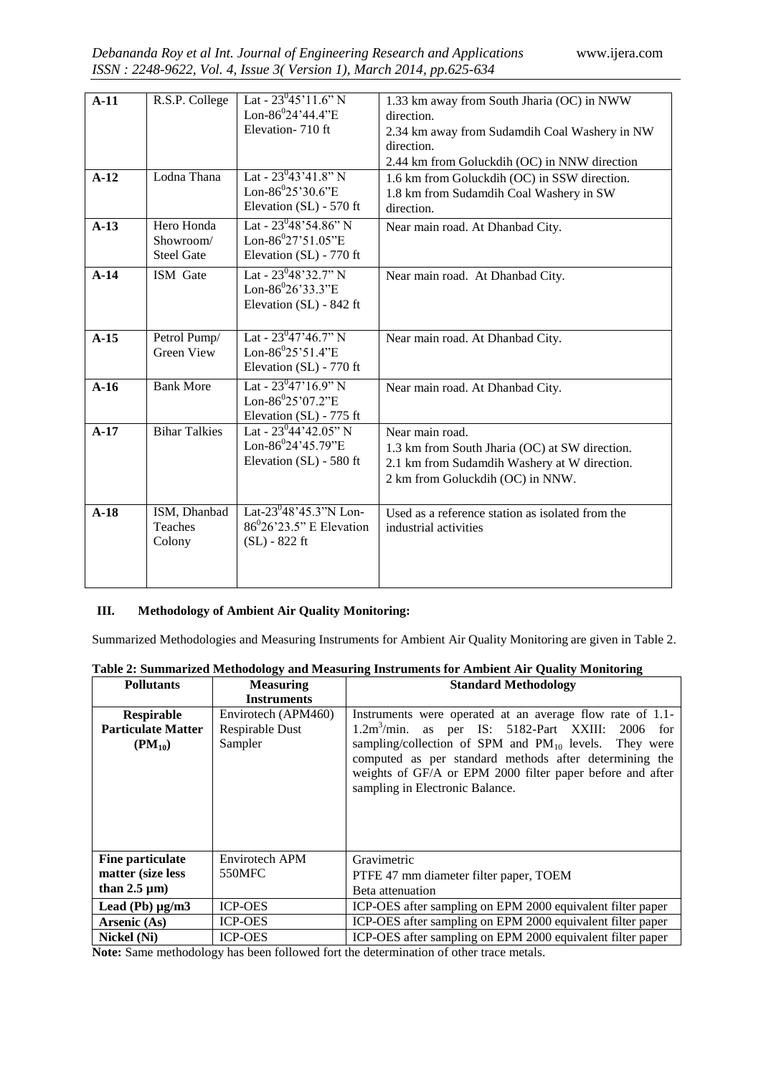| $A-11$ | R.S.P. College                               | Lat - $23^{0}45'11.6"$ N<br>Lon-86 ${}^{0}$ 24'44.4"E<br>Elevation-710 ft                   | 1.33 km away from South Jharia (OC) in NWW<br>direction.<br>2.34 km away from Sudamdih Coal Washery in NW<br>direction.<br>2.44 km from Goluckdih (OC) in NNW direction |
|--------|----------------------------------------------|---------------------------------------------------------------------------------------------|-------------------------------------------------------------------------------------------------------------------------------------------------------------------------|
| $A-12$ | Lodna Thana                                  | Lat - $23^{0}43'41.8"$ N<br>Lon-86 ${}^{0}25'30.6"E$<br>Elevation (SL) - 570 ft             | 1.6 km from Goluckdih (OC) in SSW direction.<br>1.8 km from Sudamdih Coal Washery in SW<br>direction.                                                                   |
| $A-13$ | Hero Honda<br>Showroom/<br><b>Steel Gate</b> | Lat - $23^{0}48'54.86''$ N<br>Lon-86 $^{0}27'51.05''E$<br>Elevation (SL) - 770 ft           | Near main road. At Dhanbad City.                                                                                                                                        |
| $A-14$ | ISM Gate                                     | Lat - $23^{0}48'32.7"$ N<br>Lon-86 $^{0}26'33.3"E$<br>Elevation (SL) - 842 ft               | Near main road. At Dhanbad City.                                                                                                                                        |
| $A-15$ | Petrol Pump/<br><b>Green View</b>            | Lat - $23^{0}47'46.7"$ N<br>Lon-86 $^{0}25'51.4"E$<br>Elevation (SL) - 770 ft               | Near main road. At Dhanbad City.                                                                                                                                        |
| $A-16$ | <b>Bank More</b>                             | Lat - $23^{0}47'16.9''$ N<br>Lon-86 ${}^{0}25'07.2"E$<br>Elevation (SL) - 775 ft            | Near main road. At Dhanbad City.                                                                                                                                        |
| $A-17$ | <b>Bihar Talkies</b>                         | Lat - $23^{0}44'42.05"$ N<br>Lon-86 $^{0}$ 24'45.79"E<br>Elevation (SL) - 580 ft            | Near main road.<br>1.3 km from South Jharia (OC) at SW direction.<br>2.1 km from Sudamdih Washery at W direction.<br>2 km from Goluckdih (OC) in NNW.                   |
| $A-18$ | ISM, Dhanbad<br><b>Teaches</b><br>Colony     | Lat-23 $^{0}$ 48'45.3"N Lon-<br>$86^{\circ}26^{\circ}23.5$ " E Elevation<br>$(SL) - 822$ ft | Used as a reference station as isolated from the<br>industrial activities                                                                                               |

# **III. Methodology of Ambient Air Quality Monitoring:**

Summarized Methodologies and Measuring Instruments for Ambient Air Quality Monitoring are given in Table 2.

| Table 2: Summarized Methodology and Measuring Instruments for Ambient Air Quality Monitoring |                     |                                                                                                                                                                                                                      |  |  |  |  |
|----------------------------------------------------------------------------------------------|---------------------|----------------------------------------------------------------------------------------------------------------------------------------------------------------------------------------------------------------------|--|--|--|--|
| <b>Pollutants</b>                                                                            | <b>Measuring</b>    | <b>Standard Methodology</b>                                                                                                                                                                                          |  |  |  |  |
|                                                                                              | <b>Instruments</b>  |                                                                                                                                                                                                                      |  |  |  |  |
| <b>Respirable</b>                                                                            | Envirotech (APM460) | Instruments were operated at an average flow rate of 1.1-                                                                                                                                                            |  |  |  |  |
| <b>Particulate Matter</b>                                                                    | Respirable Dust     | 1.2m <sup>3</sup> /min.<br>as per IS: 5182-Part XXIII: 2006 for                                                                                                                                                      |  |  |  |  |
| $(PM_{10})$                                                                                  | Sampler             | sampling/collection of SPM and $PM_{10}$ levels. They were<br>computed as per standard methods after determining the<br>weights of GF/A or EPM 2000 filter paper before and after<br>sampling in Electronic Balance. |  |  |  |  |
| <b>Fine particulate</b>                                                                      | Envirotech APM      | Gravimetric                                                                                                                                                                                                          |  |  |  |  |
| matter (size less                                                                            | 550MFC              | PTFE 47 mm diameter filter paper, TOEM                                                                                                                                                                               |  |  |  |  |
| than $2.5 \mu m$ )                                                                           |                     | Beta attenuation                                                                                                                                                                                                     |  |  |  |  |
| Lead (Pb) $\mu$ g/m $3$                                                                      | <b>ICP-OES</b>      | ICP-OES after sampling on EPM 2000 equivalent filter paper                                                                                                                                                           |  |  |  |  |
| Arsenic (As)                                                                                 | <b>ICP-OES</b>      | ICP-OES after sampling on EPM 2000 equivalent filter paper                                                                                                                                                           |  |  |  |  |
| Nickel (Ni)                                                                                  | <b>ICP-OES</b>      | ICP-OES after sampling on EPM 2000 equivalent filter paper                                                                                                                                                           |  |  |  |  |
|                                                                                              | 0.11                | $\cdots$                                                                                                                                                                                                             |  |  |  |  |

**Table 2: Summarized Methodology and Measuring Instruments for Ambient Air Quality Monitoring**

**Note:** Same methodology has been followed fort the determination of other trace metals.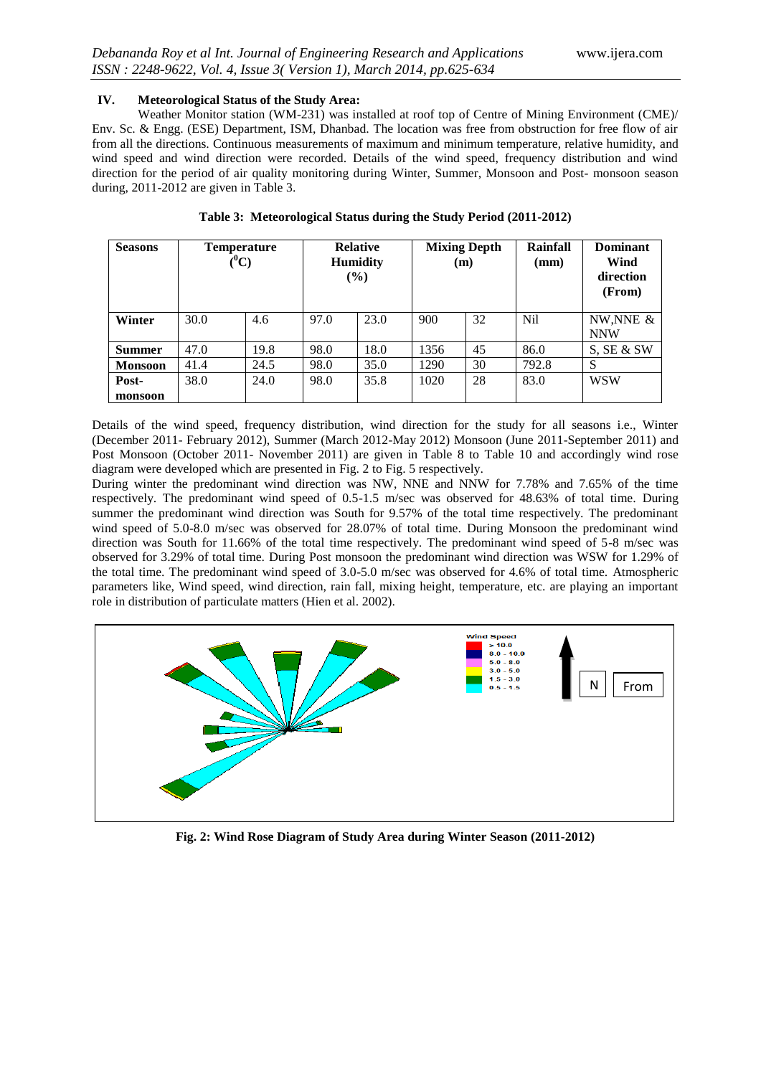## **IV. Meteorological Status of the Study Area:**

Weather Monitor station (WM-231) was installed at roof top of Centre of Mining Environment (CME)/ Env. Sc. & Engg. (ESE) Department, ISM, Dhanbad. The location was free from obstruction for free flow of air from all the directions. Continuous measurements of maximum and minimum temperature, relative humidity, and wind speed and wind direction were recorded. Details of the wind speed, frequency distribution and wind direction for the period of air quality monitoring during Winter, Summer, Monsoon and Post- monsoon season during, 2011-2012 are given in Table 3.

| <b>Seasons</b>   | <b>Temperature</b><br>$(^0\mathrm{C})$ |      | <b>Relative</b><br><b>Humidity</b><br>$(\%)$ |      | <b>Mixing Depth</b><br>(m) |    | Rainfall<br>(mm) | Dominant<br>Wind<br>direction<br>(From) |
|------------------|----------------------------------------|------|----------------------------------------------|------|----------------------------|----|------------------|-----------------------------------------|
| Winter           | 30.0                                   | 4.6  | 97.0                                         | 23.0 | 900                        | 32 | N <sub>il</sub>  | NW, NNE $&$<br><b>NNW</b>               |
| <b>Summer</b>    | 47.0                                   | 19.8 | 98.0                                         | 18.0 | 1356                       | 45 | 86.0             | S, SE & SW                              |
| <b>Monsoon</b>   | 41.4                                   | 24.5 | 98.0                                         | 35.0 | 1290                       | 30 | 792.8            | S                                       |
| Post-<br>monsoon | 38.0                                   | 24.0 | 98.0                                         | 35.8 | 1020                       | 28 | 83.0             | <b>WSW</b>                              |

| Table 3: Meteorological Status during the Study Period (2011-2012) |  |  |  |
|--------------------------------------------------------------------|--|--|--|
|                                                                    |  |  |  |

Details of the wind speed, frequency distribution, wind direction for the study for all seasons i.e., Winter (December 2011- February 2012), Summer (March 2012-May 2012) Monsoon (June 2011-September 2011) and Post Monsoon (October 2011- November 2011) are given in Table 8 to Table 10 and accordingly wind rose diagram were developed which are presented in Fig. 2 to Fig. 5 respectively.

During winter the predominant wind direction was NW, NNE and NNW for 7.78% and 7.65% of the time respectively. The predominant wind speed of 0.5-1.5 m/sec was observed for 48.63% of total time. During summer the predominant wind direction was South for 9.57% of the total time respectively. The predominant wind speed of 5.0-8.0 m/sec was observed for 28.07% of total time. During Monsoon the predominant wind direction was South for 11.66% of the total time respectively. The predominant wind speed of 5-8 m/sec was observed for 3.29% of total time. During Post monsoon the predominant wind direction was WSW for 1.29% of the total time. The predominant wind speed of 3.0-5.0 m/sec was observed for 4.6% of total time. Atmospheric parameters like, Wind speed, wind direction, rain fall, mixing height, temperature, etc. are playing an important role in distribution of particulate matters (Hien et al. 2002).



**Fig. 2: Wind Rose Diagram of Study Area during Winter Season (2011-2012)**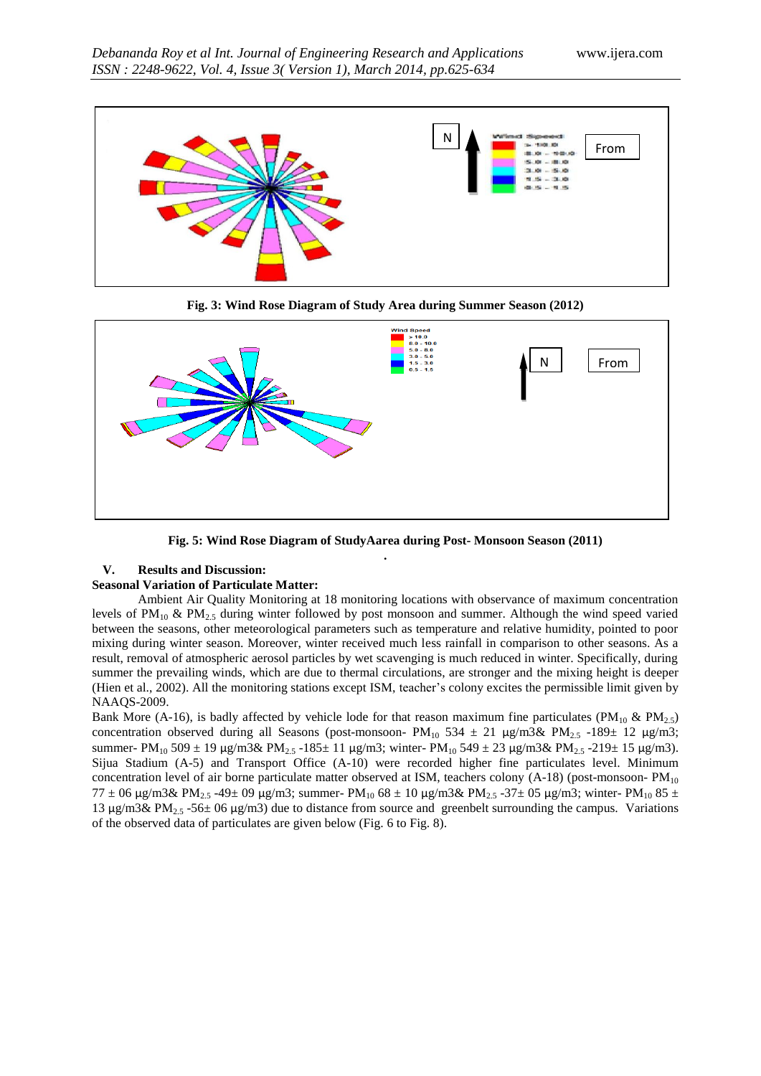

**Fig. 3: Wind Rose Diagram of Study Area during Summer Season (2012)**



**Fig. 5: Wind Rose Diagram of StudyAarea during Post- Monsoon Season (2011) .** 

## **V. Results and Discussion:**

### **Seasonal Variation of Particulate Matter:**

Ambient Air Quality Monitoring at 18 monitoring locations with observance of maximum concentration levels of  $PM_{10}$  &  $PM_{2.5}$  during winter followed by post monsoon and summer. Although the wind speed varied between the seasons, other meteorological parameters such as temperature and relative humidity, pointed to poor mixing during winter season. Moreover, winter received much less rainfall in comparison to other seasons. As a result, removal of atmospheric aerosol particles by wet scavenging is much reduced in winter. Specifically, during summer the prevailing winds, which are due to thermal circulations, are stronger and the mixing height is deeper (Hien et al., 2002). All the monitoring stations except ISM, teacher's colony excites the permissible limit given by NAAQS-2009.

Bank More (A-16), is badly affected by vehicle lode for that reason maximum fine particulates (PM<sub>10</sub> & PM<sub>2.5</sub>) concentration observed during all Seasons (post-monsoon- PM<sub>10</sub> 534 ± 21 µg/m3& PM<sub>2.5</sub> -189± 12 µg/m3; summer- PM<sub>10</sub> 509 ± 19 µg/m3& PM<sub>2.5</sub> -185± 11 µg/m3; winter- PM<sub>10</sub> 549 ± 23 µg/m3& PM<sub>2.5</sub> -219± 15 µg/m3). Sijua Stadium (A-5) and Transport Office (A-10) were recorded higher fine particulates level. Minimum concentration level of air borne particulate matter observed at ISM, teachers colony  $(A-18)$  (post-monsoon-  $PM_{10}$ ) 77 ± 06 µg/m3& PM<sub>2.5</sub> -49± 09 µg/m3; summer- PM<sub>10</sub> 68 ± 10 µg/m3& PM<sub>2.5</sub> -37± 05 µg/m3; winter- PM<sub>10</sub> 85 ± 13  $\mu$ g/m3& PM<sub>2.5</sub> -56± 06  $\mu$ g/m3) due to distance from source and greenbelt surrounding the campus. Variations of the observed data of particulates are given below (Fig. 6 to Fig. 8).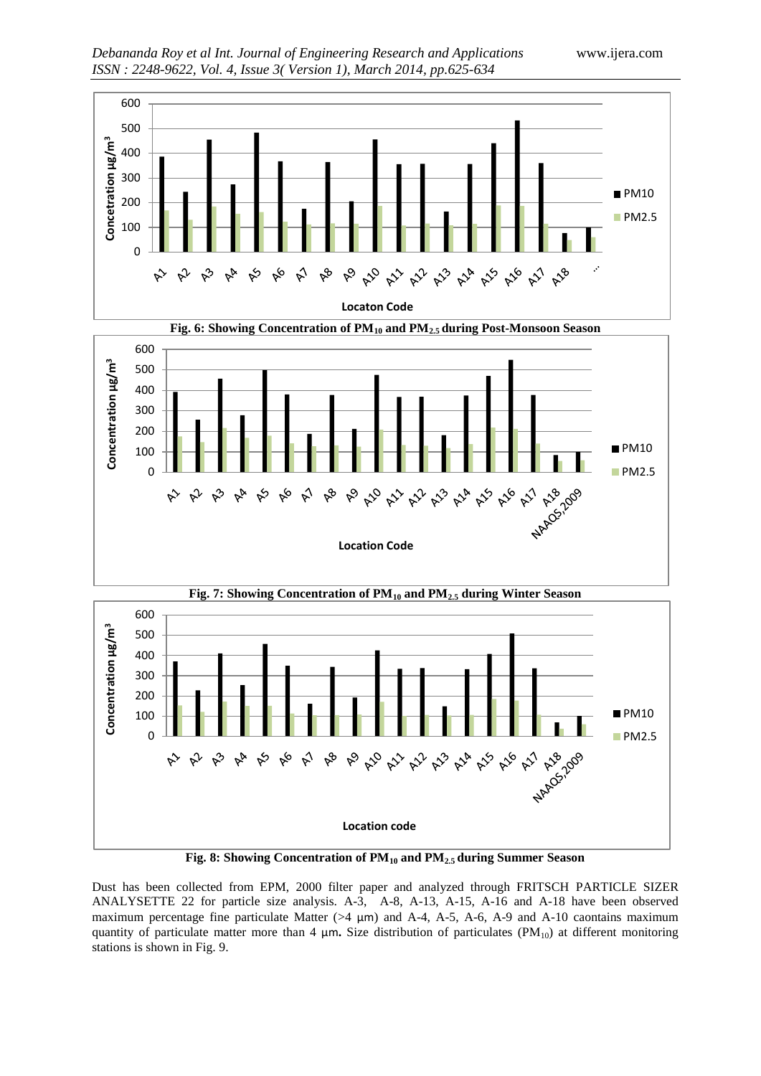





**Fig. 8: Showing Concentration of PM<sup>10</sup> and PM2.5 during Summer Season**

Dust has been collected from EPM, 2000 filter paper and analyzed through FRITSCH PARTICLE SIZER ANALYSETTE 22 for particle size analysis. A-3, A-8, A-13, A-15, A-16 and A-18 have been observed maximum percentage fine particulate Matter ( $>4 \mu m$ ) and A-4, A-5, A-6, A-9 and A-10 caontains maximum quantity of particulate matter more than 4  $\mu$ m. Size distribution of particulates (PM<sub>10</sub>) at different monitoring stations is shown in Fig. 9.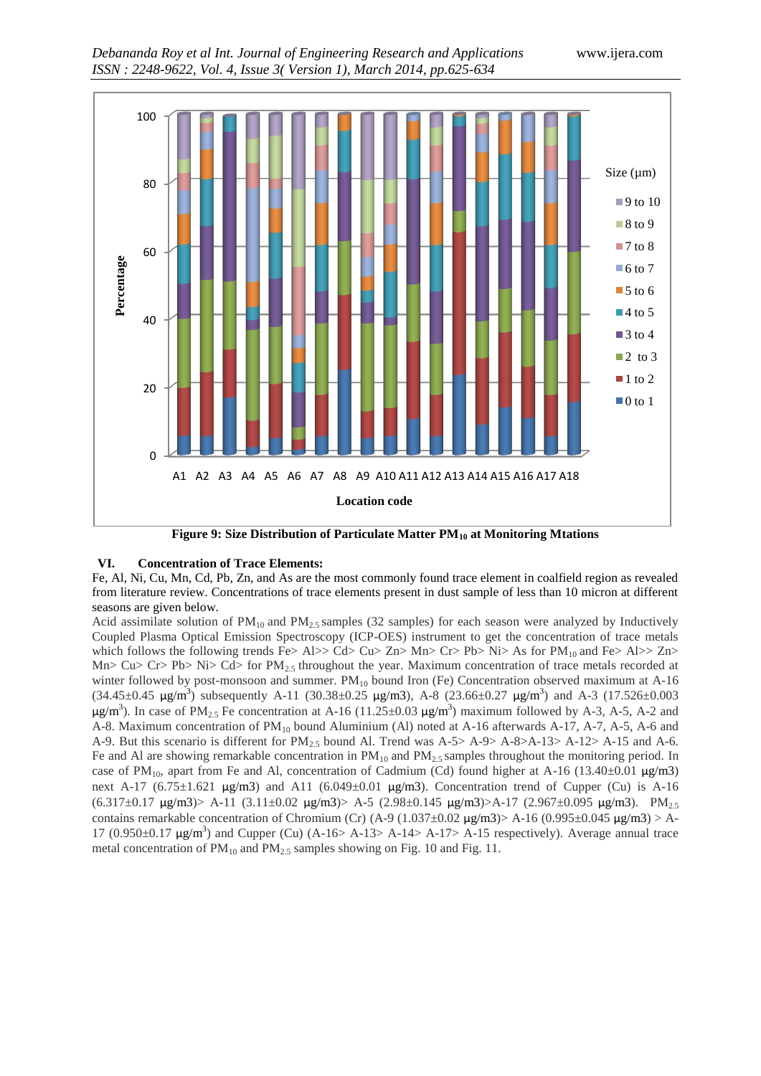

**Figure 9: Size Distribution of Particulate Matter PM<sup>10</sup> at Monitoring Mtations**

## **VI. Concentration of Trace Elements:**

Fe, Al, Ni, Cu, Mn, Cd, Pb, Zn, and As are the most commonly found trace element in coalfield region as revealed from literature review. Concentrations of trace elements present in dust sample of less than 10 micron at different seasons are given below.

Acid assimilate solution of  $PM_{10}$  and  $PM_{2.5}$  samples (32 samples) for each season were analyzed by Inductively Coupled Plasma Optical Emission Spectroscopy (ICP-OES) instrument to get the concentration of trace metals which follows the following trends Fe> Al>> Cd> Cu> Zn> Mn> Cr> Pb> Ni> As for  $PM_{10}$  and Fe> Al>> Zn> Mn> Cu> Cr> Pb> Ni> Cd> for  $PM_{2.5}$  throughout the year. Maximum concentration of trace metals recorded at winter followed by post-monsoon and summer.  $PM_{10}$  bound Iron (Fe) Concentration observed maximum at A-16  $(34.45\pm0.45 \text{ µg/m}^3)$  subsequently A-11  $(30.38\pm0.25 \text{ µg/m}^3)$ , A-8  $(23.66\pm0.27 \text{ µg/m}^3)$  and A-3  $(17.526\pm0.003 \text{ µg/m}^3)$  $\mu$ g/m<sup>3</sup>). In case of PM<sub>2.5</sub> Fe concentration at A-16 (11.25±0.03  $\mu$ g/m<sup>3</sup>) maximum followed by A-3, A-5, A-2 and A-8. Maximum concentration of  $PM_{10}$  bound Aluminium (Al) noted at A-16 afterwards A-17, A-7, A-5, A-6 and A-9. But this scenario is different for  $PM_{2.5}$  bound Al. Trend was A-5> A-9> A-8>A-13> A-12> A-15 and A-6. Fe and Al are showing remarkable concentration in  $PM_{10}$  and  $PM_{2.5}$  samples throughout the monitoring period. In case of PM<sub>10</sub>, apart from Fe and Al, concentration of Cadmium (Cd) found higher at A-16 (13.40±0.01  $\mu$ g/m3) next A-17 (6.75±1.621 µg/m3) and A11 (6.049±0.01 µg/m3). Concentration trend of Cupper (Cu) is A-16  $(6.317\pm0.17 \text{ µg/m3})$ > A-11  $(3.11\pm0.02 \text{ µg/m3})$ > A-5  $(2.98\pm0.145 \text{ µg/m3})$ >A-17  $(2.967\pm0.095 \text{ µg/m3})$ . PM<sub>2.5</sub> contains remarkable concentration of Chromium (Cr) (A-9 (1.037 $\pm$ 0.02  $\mu$ g/m3)> A-16 (0.995 $\pm$ 0.045  $\mu$ g/m3)> A-17 (0.950 $\pm$ 0.17  $\mu$ g/m<sup>3</sup>) and Cupper (Cu) (A-16> A-13> A-14> A-17> A-15 respectively). Average annual trace metal concentration of  $PM_{10}$  and  $PM_{2.5}$  samples showing on Fig. 10 and Fig. 11.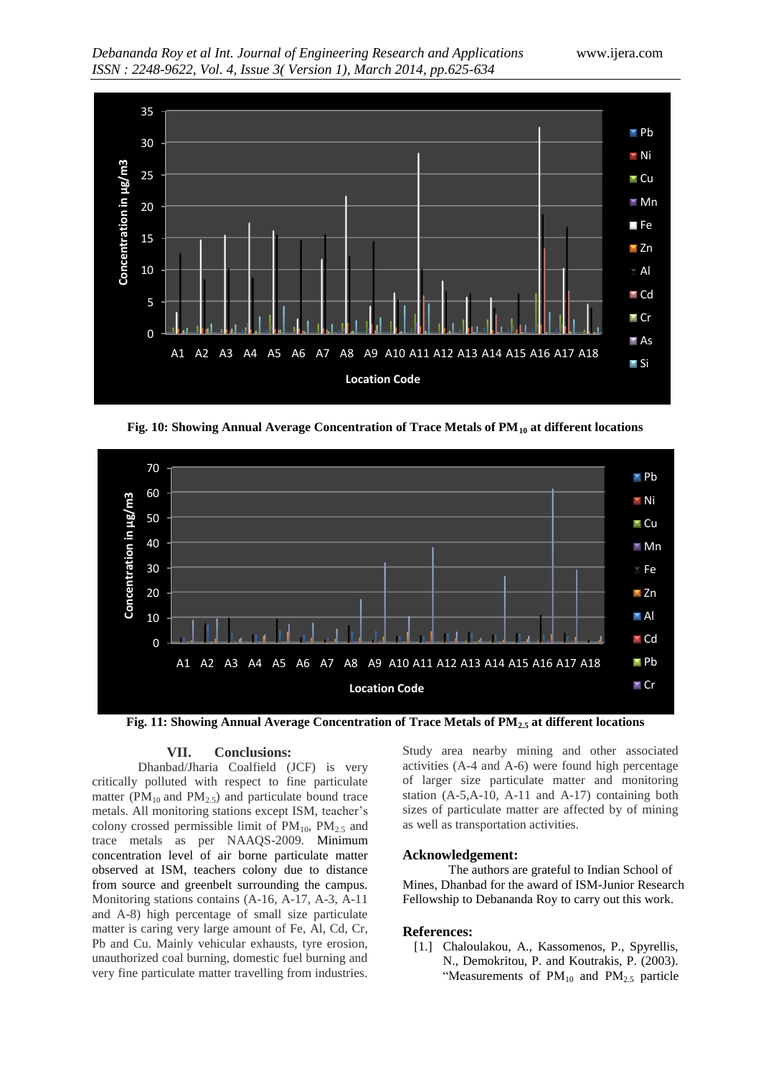

**Fig. 10: Showing Annual Average Concentration of Trace Metals of PM<sup>10</sup> at different locations**



**Fig. 11: Showing Annual Average Concentration of Trace Metals of PM2.5 at different locations**

#### **VII. Conclusions:**

Dhanbad/Jharia Coalfield (JCF) is very critically polluted with respect to fine particulate matter ( $PM_{10}$  and  $PM_{2.5}$ ) and particulate bound trace metals. All monitoring stations except ISM, teacher's colony crossed permissible limit of  $PM_{10}$ ,  $PM_{2.5}$  and trace metals as per NAAQS-2009. Minimum concentration level of air borne particulate matter observed at ISM, teachers colony due to distance from source and greenbelt surrounding the campus. Monitoring stations contains (A-16, A-17, A-3, A-11 and A-8) high percentage of small size particulate matter is caring very large amount of Fe, Al, Cd, Cr, Pb and Cu. Mainly vehicular exhausts, tyre erosion, unauthorized coal burning, domestic fuel burning and very fine particulate matter travelling from industries.

Study area nearby mining and other associated activities (A-4 and A-6) were found high percentage of larger size particulate matter and monitoring station (A-5,A-10, A-11 and A-17) containing both sizes of particulate matter are affected by of mining as well as transportation activities.

## **Acknowledgement:**

The authors are grateful to Indian School of Mines, Dhanbad for the award of ISM-Junior Research Fellowship to Debananda Roy to carry out this work.

#### **References:**

[1.] Chaloulakou, A., Kassomenos, P., Spyrellis, N., Demokritou, P. and Koutrakis, P. (2003). "Measurements of  $PM_{10}$  and  $PM_{2.5}$  particle